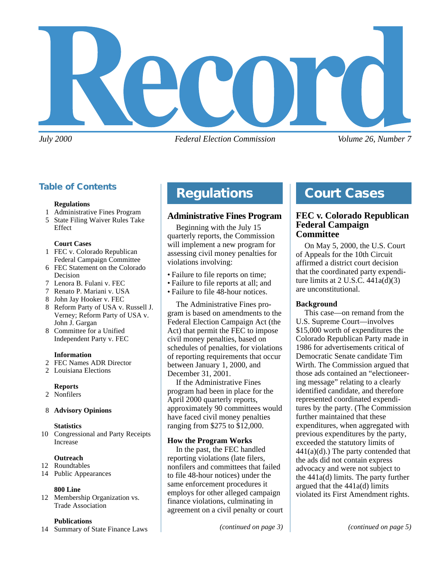

*July 2000 Federal Election Commission Volume 26, Number 7*

## **Table of Contents**

#### **Regulations**

- 1 Administrative Fines Program
- 5 State Filing Waiver Rules Take Effect

#### **Court Cases**

- 1 FEC v. Colorado Republican Federal Campaign Committee
- 6 FEC Statement on the Colorado Decision
- 7 Lenora B. Fulani v. FEC
- 7 Renato P. Mariani v. USA
- 8 John Jay Hooker v. FEC
- 8 Reform Party of USA v. Russell J. Verney; Reform Party of USA v. John J. Gargan
- 8 Committee for a Unified Independent Party v. FEC

#### **Information**

- 2 FEC Names ADR Director
- 2 Louisiana Elections

#### **Reports**

- 2 Nonfilers
- 8 **Advisory Opinions**

#### **Statistics**

10 Congressional and Party Receipts Increase

#### **Outreach**

- 12 Roundtables
- 14 Public Appearances

#### **800 Line**

12 Membership Organization vs. Trade Association

#### **Publications**

14 Summary of State Finance Laws

# **Regulations**

## **Administrative Fines Program**

Beginning with the July 15 quarterly reports, the Commission will implement a new program for assessing civil money penalties for violations involving:

- Failure to file reports on time;
- Failure to file reports at all; and
- Failure to file 48-hour notices.

The Administrative Fines program is based on amendments to the Federal Election Campaign Act (the Act) that permit the FEC to impose civil money penalties, based on schedules of penalties, for violations of reporting requirements that occur between January 1, 2000, and December 31, 2001.

If the Administrative Fines program had been in place for the April 2000 quarterly reports, approximately 90 committees would have faced civil money penalties ranging from \$275 to \$12,000.

#### **How the Program Works**

In the past, the FEC handled reporting violations (late filers, nonfilers and committees that failed to file 48-hour notices) under the same enforcement procedures it employs for other alleged campaign finance violations, culminating in agreement on a civil penalty or court

*(continued on page 3) (continued on page 5)*

# **Court Cases**

### **FEC v. Colorado Republican Federal Campaign Committee**

On May 5, 2000, the U.S. Court of Appeals for the 10th Circuit affirmed a district court decision that the coordinated party expenditure limits at  $2$  U.S.C.  $441a(d)(3)$ are unconstitutional.

#### **Background**

This case—on remand from the U.S. Supreme Court—involves \$15,000 worth of expenditures the Colorado Republican Party made in 1986 for advertisements critical of Democratic Senate candidate Tim Wirth. The Commission argued that those ads contained an "electioneering message" relating to a clearly identified candidate, and therefore represented coordinated expenditures by the party. (The Commission further maintained that these expenditures, when aggregated with previous expenditures by the party, exceeded the statutory limits of  $441(a)(d)$ .) The party contended that the ads did not contain express advocacy and were not subject to the 441a(d) limits. The party further argued that the 441a(d) limits violated its First Amendment rights.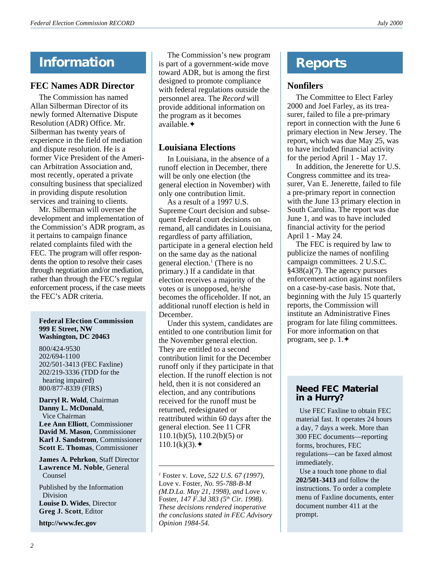# **Information**

## **FEC Names ADR Director**

The Commission has named Allan Silberman Director of its newly formed Alternative Dispute Resolution (ADR) Office. Mr. Silberman has twenty years of experience in the field of mediation and dispute resolution. He is a former Vice President of the American Arbitration Association and, most recently, operated a private consulting business that specialized in providing dispute resolution services and training to clients.

Mr. Silberman will oversee the development and implementation of the Commission's ADR program, as it pertains to campaign finance related complaints filed with the FEC. The program will offer respondents the option to resolve their cases through negotiation and/or mediation, rather than through the FEC's regular enforcement process, if the case meets the FEC's ADR criteria.

#### **Federal Election Commission 999 E Street, NW Washington, DC 20463**

800/424-9530 202/694-1100 202/501-3413 (FEC Faxline) 202/219-3336 (TDD for the hearing impaired) 800/877-8339 (FIRS)

**Darryl R. Wold**, Chairman **Danny L. McDonald**, Vice Chairman **Lee Ann Elliott**, Commissioner **David M. Mason**, Commissioner **Karl J. Sandstrom**, Commissioner **Scott E. Thomas**, Commissioner

**James A. Pehrkon**, Staff Director **Lawrence M. Noble**, General Counsel

Published by the Information Division **Louise D. Wides**, Director **Greg J. Scott**, Editor

**<http://www.fec.gov>**

The Commission's new program is part of a government-wide move toward ADR, but is among the first designed to promote compliance with federal regulations outside the personnel area. The *Record* will provide additional information on the program as it becomes available.✦

## **Louisiana Elections**

In Louisiana, in the absence of a runoff election in December, there will be only one election (the general election in November) with only one contribution limit.

As a result of a 1997 U.S. Supreme Court decision and subsequent Federal court decisions on remand, all candidates in Louisiana, regardless of party affiliation, participate in a general election held on the same day as the national general election.<sup>1</sup> (There is no primary.) If a candidate in that election receives a majority of the votes or is unopposed, he/she becomes the officeholder. If not, an additional runoff election is held in December.

Under this system, candidates are entitled to one contribution limit for the November general election. They are entitled to a second contribution limit for the December runoff only if they participate in that election. If the runoff election is not held, then it is not considered an election, and any contributions received for the runoff must be returned, redesignated or reattributed within 60 days after the general election. See 11 CFR  $110.1(b)(5)$ ,  $110.2(b)(5)$  or  $110.1(k)(3)$ .

*<sup>1</sup>* Foster v. Love, *522 U.S. 67 (1997),* Love v. Foster*, No. 95-788-B-M (M.D.La. May 21, 1998), and* Love v. Foster*, 147 F.3d 383 (5th Cir. 1998). These decisions rendered inoperative the conclusions stated in FEC Advisory Opinion 1984-54.*

# **Reports**

## **Nonfilers**

The Committee to Elect Farley 2000 and Joel Farley, as its treasurer, failed to file a pre-primary report in connection with the June 6 primary election in New Jersey. The report, which was due May 25, was to have included financial activity for the period April 1 - May 17.

In addition, the Jenerette for U.S. Congress committee and its treasurer, Van E. Jenerette, failed to file a pre-primary report in connection with the June 13 primary election in South Carolina. The report was due June 1, and was to have included financial activity for the period April 1 - May 24.

The FEC is required by law to publicize the names of nonfiling campaign committees. 2 U.S.C.  $§438(a)(7)$ . The agency pursues enforcement action against nonfilers on a case-by-case basis. Note that, beginning with the July 15 quarterly reports, the Commission will institute an Administrative Fines program for late filing committees. For more information on that program, see p. 1.✦

## **Need FEC Material in a Hurry?**

 Use FEC Faxline to obtain FEC material fast. It operates 24 hours a day, 7 days a week. More than 300 FEC documents—reporting forms, brochures, FEC regulations—can be faxed almost immediately.

 Use a touch tone phone to dial **202/501-3413** and follow the instructions. To order a complete menu of Faxline documents, enter document number 411 at the prompt.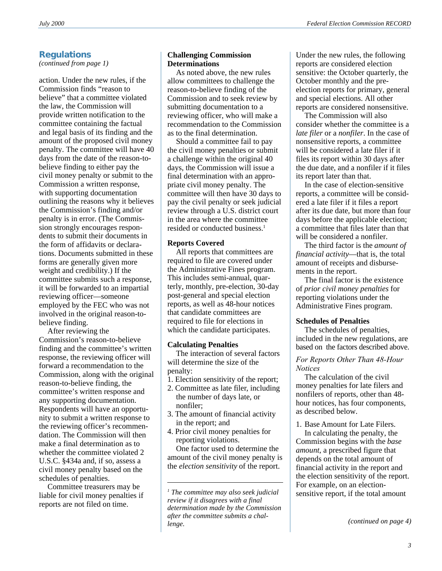## **Regulations**

*(continued from page 1)*

action. Under the new rules, if the Commission finds "reason to believe" that a committee violated the law, the Commission will provide written notification to the committee containing the factual and legal basis of its finding and the amount of the proposed civil money penalty. The committee will have 40 days from the date of the reason-tobelieve finding to either pay the civil money penalty or submit to the Commission a written response, with supporting documentation outlining the reasons why it believes the Commission's finding and/or penalty is in error. (The Commission strongly encourages respondents to submit their documents in the form of affidavits or declarations. Documents submitted in these forms are generally given more weight and credibility.) If the committee submits such a response, it will be forwarded to an impartial reviewing officer—someone employed by the FEC who was not involved in the original reason-tobelieve finding.

After reviewing the Commission's reason-to-believe finding and the committee's written response, the reviewing officer will forward a recommendation to the Commission, along with the original reason-to-believe finding, the committee's written response and any supporting documentation. Respondents will have an opportunity to submit a written response to the reviewing officer's recommendation. The Commission will then make a final determination as to whether the committee violated 2 U.S.C. §434a and, if so, assess a civil money penalty based on the schedules of penalties.

Committee treasurers may be liable for civil money penalties if reports are not filed on time.

#### **Challenging Commission Determinations**

As noted above, the new rules allow committees to challenge the reason-to-believe finding of the Commission and to seek review by submitting documentation to a reviewing officer, who will make a recommendation to the Commission as to the final determination.

Should a committee fail to pay the civil money penalties or submit a challenge within the original 40 days, the Commission will issue a final determination with an appropriate civil money penalty. The committee will then have 30 days to pay the civil penalty or seek judicial review through a U.S. district court in the area where the committee resided or conducted business.<sup>1</sup>

#### **Reports Covered**

All reports that committees are required to file are covered under the Administrative Fines program. This includes semi-annual, quarterly, monthly, pre-election, 30-day post-general and special election reports, as well as 48-hour notices that candidate committees are required to file for elections in which the candidate participates.

#### **Calculating Penalties**

The interaction of several factors will determine the size of the penalty:

- 1. Election sensitivity of the report;
- 2. Committee as late filer, including the number of days late, or nonfiler;
- 3. The amount of financial activity in the report; and
- 4. Prior civil money penalties for reporting violations. One factor used to determine the amount of the civil money penalty is the *election sensitivity* of the report.

Under the new rules, the following reports are considered election sensitive: the October quarterly, the October monthly and the preelection reports for primary, general and special elections. All other reports are considered nonsensitive.

The Commission will also consider whether the committee is a *late filer* or a *nonfiler*. In the case of nonsensitive reports, a committee will be considered a late filer if it files its report within 30 days after the due date, and a nonfiler if it files its report later than that.

In the case of election-sensitive reports, a committee will be considered a late filer if it files a report after its due date, but more than four days before the applicable election; a committee that files later than that will be considered a nonfiler.

The third factor is the *amount of financial activity*—that is, the total amount of receipts and disbursements in the report.

The final factor is the existence of *prior civil money penalties* for reporting violations under the Administrative Fines program.

#### **Schedules of Penalties**

The schedules of penalties, included in the new regulations, are based on the factors described above.

#### *For Reports Other Than 48-Hour Notices*

The calculation of the civil money penalties for late filers and nonfilers of reports, other than 48 hour notices, has four components, as described below.

1. Base Amount for Late Filers.

In calculating the penalty, the Commission begins with the *base amount*, a prescribed figure that depends on the total amount of financial activity in the report and the election sensitivity of the report. For example, on an electionsensitive report, if the total amount

*<sup>1</sup> The committee may also seek judicial review if it disagrees with a final determination made by the Commission after the committee submits a challenge.*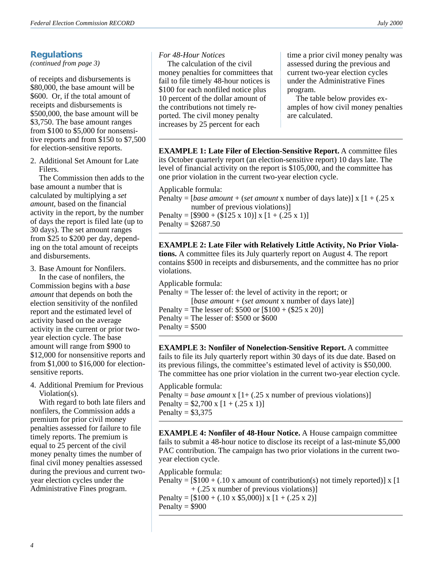## **Regulations**

*(continued from page 3)*

of receipts and disbursements is \$80,000, the base amount will be \$600. Or, if the total amount of receipts and disbursements is \$500,000, the base amount will be \$3,750. The base amount ranges from \$100 to \$5,000 for nonsensitive reports and from \$150 to \$7,500 for election-sensitive reports.

2. Additional Set Amount for Late Filers.

The Commission then adds to the base amount a number that is calculated by multiplying a *set amount*, based on the financial activity in the report, by the number of days the report is filed late (up to 30 days). The set amount ranges from \$25 to \$200 per day, depending on the total amount of receipts and disbursements.

3. Base Amount for Nonfilers.

In the case of nonfilers, the Commission begins with a *base amount* that depends on both the election sensitivity of the nonfiled report and the estimated level of activity based on the average activity in the current or prior twoyear election cycle. The base amount will range from \$900 to \$12,000 for nonsensitive reports and from \$1,000 to \$16,000 for electionsensitive reports.

4. Additional Premium for Previous Violation(s).

With regard to both late filers and nonfilers, the Commission adds a premium for prior civil money penalties assessed for failure to file timely reports. The premium is equal to 25 percent of the civil money penalty times the number of final civil money penalties assessed during the previous and current twoyear election cycles under the Administrative Fines program.

#### *For 48-Hour Notices*

The calculation of the civil money penalties for committees that fail to file timely 48-hour notices is \$100 for each nonfiled notice plus 10 percent of the dollar amount of the contributions not timely reported. The civil money penalty increases by 25 percent for each

time a prior civil money penalty was assessed during the previous and current two-year election cycles under the Administrative Fines program.

The table below provides examples of how civil money penalties are calculated.

**EXAMPLE 1: Late Filer of Election-Sensitive Report.** A committee files its October quarterly report (an election-sensitive report) 10 days late. The level of financial activity on the report is \$105,000, and the committee has one prior violation in the current two-year election cycle.

Applicable formula:

Penalty =  $[base\ amount + (set\ amount x\ number\ of\ days\ late)] x [1 + (.25 x$ number of previous violations)]

Penalty =  $[$900 + ($125 \times 10)] \times [1 + (.25 \times 1)]$ Penalty =  $$2687.50$ 

**EXAMPLE 2: Late Filer with Relatively Little Activity, No Prior Violations.** A committee files its July quarterly report on August 4. The report contains \$500 in receipts and disbursements, and the committee has no prior violations.

Applicable formula:

- Penalty = The lesser of: the level of activity in the report; or [*base amount* + (*set amount* x number of days late)] Penalty = The lesser of:  $$500$  or  $$100 + ($25 \times 20)$ ] Penalty = The lesser of: \$500 or \$600
- Penalty  $= $500$

**EXAMPLE 3: Nonfiler of Nonelection-Sensitive Report.** A committee fails to file its July quarterly report within 30 days of its due date. Based on its previous filings, the committee's estimated level of activity is \$50,000. The committee has one prior violation in the current two-year election cycle.

Applicable formula: Penalty = *base amount*  $x$  [1+ (.25 x number of previous violations)] Penalty =  $$2,700 \times [1 + (.25 \times 1)]$ Penalty =  $$3,375$ 

**EXAMPLE 4: Nonfiler of 48-Hour Notice.** A House campaign committee fails to submit a 48-hour notice to disclose its receipt of a last-minute \$5,000 PAC contribution. The campaign has two prior violations in the current twoyear election cycle.

Applicable formula: Penalty =  $[$100 + (.10 x amount of contribution(s) not timely reported)] x [1]$ + (.25 x number of previous violations)] Penalty =  $[$100 + (.10 \times $5,000)] \times [1 + (.25 \times 2)]$ Penalty  $=$  \$900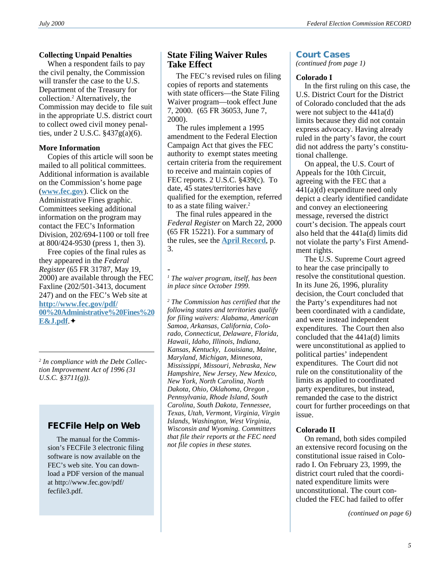#### **Collecting Unpaid Penalties**

When a respondent fails to pay the civil penalty, the Commission will transfer the case to the U.S. Department of the Treasury for collection.2 Alternatively, the Commission may decide to file suit in the appropriate U.S. district court to collect owed civil money penalties, under 2 U.S.C. §437g(a)(6).

#### **More Information**

Copies of this article will soon be mailed to all political committees. Additional information is available on the Commission's home page (**[www.fec.gov](http://www.fec.gov)**). Click on the Administrative Fines graphic. Committees seeking additional information on the program may contact the FEC's Information Division, 202/694-1100 or toll free at 800/424-9530 (press 1, then 3).

Free copies of the final rules as they appeared in the *Federal Register* (65 FR 31787, May 19, 2000) are available through the FEC Faxline (202/501-3413, document 247) and on the FEC's Web site at **[http://www.fec.gov/pdf/](http://www.fec.gov/pdf/nprm/admin_fines_1/00_Administrative_Fines_E_J.pdf) [00%20Administrative%20Fines%20](http://www.fec.gov/pdf/nprm/admin_fines_1/00_Administrative_Fines_E_J.pdf) [E&J.pdf](http://www.fec.gov/pdf/nprm/admin_fines_1/00_Administrative_Fines_E_J.pdf)**.✦

*2 In compliance with the Debt Collection Improvement Act of 1996 (31 U.S.C. §3711(g)).*

## **FECFile Help on Web**

 The manual for the Commission's FECFile 3 electronic filing software is now available on the FEC's web site. You can download a PDF version of the manual at http://www.fec.gov/pdf/ fecfile3.pdf.

## **State Filing Waiver Rules Take Effect**

The FEC's revised rules on filing copies of reports and statements with state officers—the State Filing Waiver program—took effect June 7, 2000. (65 FR 36053, June 7, 2000).

The rules implement a 1995 amendment to the Federal Election Campaign Act that gives the FEC authority to exempt states meeting certain criteria from the requirement to receive and maintain copies of FEC reports. 2 U.S.C. §439(c). To date, 45 states/territories have qualified for the exemption, referred to as a state filing waiver.<sup>2</sup>

The final rules appeared in the *Federal Register* on March 22, 2000 (65 FR 15221). For a summary of the rules, see the **[April Record](http://www.fec.gov/pdf/april00.pdf)**, p. 3.

- *1 The waiver program, itself, has been in place since October 1999.*

*2 The Commission has certified that the following states and territories qualify for filing waivers: Alabama, American Samoa, Arkansas, California, Colorado, Connecticut, Delaware, Florida, Hawaii, Idaho, Illinois, Indiana, Kansas, Kentucky, Louisiana, Maine, Maryland, Michigan, Minnesota, Mississippi, Missouri, Nebraska, New Hampshire, New Jersey, New Mexico, New York, North Carolina, North Dakota, Ohio, Oklahoma, Oregon , Pennsylvania, Rhode Island, South Carolina, South Dakota, Tennessee, Texas, Utah, Vermont, Virginia, Virgin Islands, Washington, West Virginia, Wisconsin and Wyoming. Committees that file their reports at the FEC need not file copies in these states.*

## **Court Cases**

*(continued from page 1)*

#### **Colorado I**

In the first ruling on this case, the U.S. District Court for the District of Colorado concluded that the ads were not subject to the 441a(d) limits because they did not contain express advocacy. Having already ruled in the party's favor, the court did not address the party's constitutional challenge.

On appeal, the U.S. Court of Appeals for the 10th Circuit, agreeing with the FEC that a  $441(a)(d)$  expenditure need only depict a clearly identified candidate and convey an electioneering message, reversed the district court's decision. The appeals court also held that the 441a(d) limits did not violate the party's First Amendment rights.

The U.S. Supreme Court agreed to hear the case principally to resolve the constitutional question. In its June 26, 1996, plurality decision, the Court concluded that the Party's expenditures had not been coordinated with a candidate, and were instead independent expenditures. The Court then also concluded that the 441a(d) limits were unconstitutional as applied to political parties' independent expenditures. The Court did not rule on the constitutionality of the limits as applied to coordinated party expenditures, but instead, remanded the case to the district court for further proceedings on that issue.

#### **Colorado II**

On remand, both sides compiled an extensive record focusing on the constitutional issue raised in Colorado I. On February 23, 1999, the district court ruled that the coordinated expenditure limits were unconstitutional. The court concluded the FEC had failed to offer

*(continued on page 6)*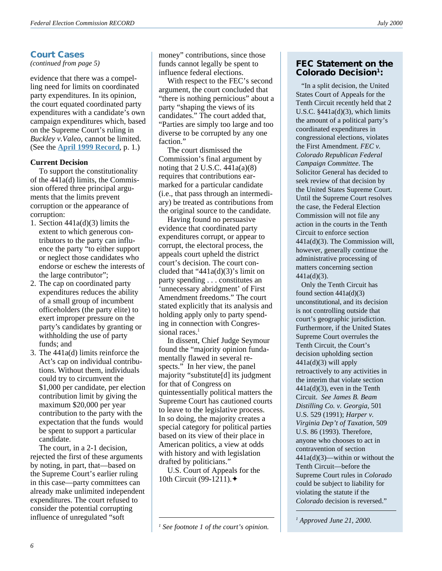## **Court Cases**

*(continued from page 5)*

evidence that there was a compelling need for limits on coordinated party expenditures. In its opinion, the court equated coordinated party expenditures with a candidate's own campaign expenditures which, based on the Supreme Court's ruling in *Buckley v.Valeo*, cannot be limited. (See the **[April 1999 Record](http://www.fec.gov/pdf/april99.pdf)**, p. 1.)

#### **Current Decision**

To support the constitutionality of the 441a(d) limits, the Commission offered three principal arguments that the limits prevent corruption or the appearance of corruption:

- 1. Section 441a(d)(3) limits the extent to which generous contributors to the party can influence the party "to either support or neglect those candidates who endorse or eschew the interests of the large contributor";
- 2. The cap on coordinated party expenditures reduces the ability of a small group of incumbent officeholders (the party elite) to exert improper pressure on the party's candidates by granting or withholding the use of party funds; and
- 3. The 441a(d) limits reinforce the Act's cap on individual contributions. Without them, individuals could try to circumvent the \$1,000 per candidate, per election contribution limit by giving the maximum \$20,000 per year contribution to the party with the expectation that the funds would be spent to support a particular candidate.

The court, in a 2-1 decision, rejected the first of these arguments by noting, in part, that—based on the Supreme Court's earlier ruling in this case—party committees can already make unlimited independent expenditures. The court refused to consider the potential corrupting influence of unregulated "soft

money" contributions, since those funds cannot legally be spent to influence federal elections.

With respect to the FEC's second argument, the court concluded that "there is nothing pernicious" about a party "shaping the views of its candidates." The court added that, "Parties are simply too large and too diverse to be corrupted by any one faction."

The court dismissed the Commission's final argument by noting that  $2$  U.S.C.  $441a(a)(8)$ requires that contributions earmarked for a particular candidate (i.e., that pass through an intermediary) be treated as contributions from the original source to the candidate.

Having found no persuasive evidence that coordinated party expenditures corrupt, or appear to corrupt, the electoral process, the appeals court upheld the district court's decision. The court concluded that " $441a(d)(3)$ 's limit on party spending . . . constitutes an 'unnecessary abridgment' of First Amendment freedoms." The court stated explicitly that its analysis and holding apply only to party spending in connection with Congressional races.<sup>1</sup>

In dissent, Chief Judge Seymour found the "majority opinion fundamentally flawed in several respects." In her view, the panel majority "substitute[d] its judgment for that of Congress on quintessentially political matters the Supreme Court has cautioned courts to leave to the legislative process. In so doing, the majority creates a special category for political parties based on its view of their place in American politics, a view at odds with history and with legislation drafted by politicians."

U.S. Court of Appeals for the 10th Circuit (99-1211).✦

#### **FEC Statement on the Colorado Decision1:**

 "In a split decision, the United States Court of Appeals for the Tenth Circuit recently held that 2 U.S.C.  $§441a(d)(3)$ , which limits the amount of a political party's coordinated expenditures in congressional elections, violates the First Amendment. *FEC v. Colorado Republican Federal Campaign Committee*. The Solicitor General has decided to seek review of that decision by the United States Supreme Court. Until the Supreme Court resolves the case, the Federal Election Commission will not file any action in the courts in the Tenth Circuit to enforce section 441a(d)(3). The Commission will, however, generally continue the administrative processing of matters concerning section 441a(d)(3).

 Only the Tenth Circuit has found section  $441a(d)(3)$ unconstitutional, and its decision is not controlling outside that court's geographic jurisdiction. Furthermore, if the United States Supreme Court overrules the Tenth Circuit, the Court's decision upholding section  $441a(d)(3)$  will apply retroactively to any activities in the interim that violate section 441a(d)(3), even in the Tenth Circuit. *See James B. Beam Distilling Co. v. Georgia*, 501 U.S. 529 (1991); *Harper v. Virginia Dep't of Taxation*, 509 U.S. 86 (1993). Therefore, anyone who chooses to act in contravention of section 441a(d)(3)—within or without the Tenth Circuit—before the Supreme Court rules in *Colorado* could be subject to liability for violating the statute if the *Colorado* decision is reversed."

*1 Approved June 21, 2000.*

*<sup>1</sup> See footnote 1 of the court's opinion.*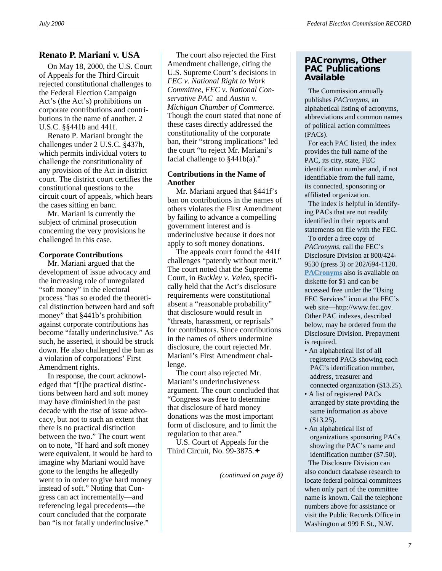## **Renato P. Mariani v. USA**

On May 18, 2000, the U.S. Court of Appeals for the Third Circuit rejected constitutional challenges to the Federal Election Campaign Act's (the Act's) prohibitions on corporate contributions and contributions in the name of another. 2 U.S.C. §§441b and 441f.

Renato P. Mariani brought the challenges under 2 U.S.C. §437h, which permits individual voters to challenge the constitutionality of any provision of the Act in district court. The district court certifies the constitutional questions to the circuit court of appeals, which hears the cases sitting en banc.

Mr. Mariani is currently the subject of criminal prosecution concerning the very provisions he challenged in this case.

#### **Corporate Contributions**

Mr. Mariani argued that the development of issue advocacy and the increasing role of unregulated "soft money" in the electoral process "has so eroded the theoretical distinction between hard and soft money" that §441b's prohibition against corporate contributions has become "fatally underinclusive." As such, he asserted, it should be struck down. He also challenged the ban as a violation of corporations' First Amendment rights.

In response, the court acknowledged that "[t]he practical distinctions between hard and soft money may have diminished in the past decade with the rise of issue advocacy, but not to such an extent that there is no practical distinction between the two." The court went on to note, "If hard and soft money were equivalent, it would be hard to imagine why Mariani would have gone to the lengths he allegedly went to in order to give hard money instead of soft." Noting that Congress can act incrementally—and referencing legal precedents—the court concluded that the corporate ban "is not fatally underinclusive."

The court also rejected the First Amendment challenge, citing the U.S. Supreme Court's decisions in *FEC v. National Right to Work Committee*, *FEC v. National Conservative PAC* and *Austin v. Michigan Chamber of Commerce.* Though the court stated that none of these cases directly addressed the constitutionality of the corporate ban, their "strong implications" led the court "to reject Mr. Mariani's facial challenge to  $§441b(a)$ ."

#### **Contributions in the Name of Another**

Mr. Mariani argued that §441f's ban on contributions in the names of others violates the First Amendment by failing to advance a compelling government interest and is underinclusive because it does not apply to soft money donations.

The appeals court found the 441f challenges "patently without merit." The court noted that the Supreme Court, in *Buckley v. Valeo*, specifically held that the Act's disclosure requirements were constitutional absent a "reasonable probability" that disclosure would result in "threats, harassment, or reprisals" for contributors. Since contributions in the names of others undermine disclosure, the court rejected Mr. Mariani's First Amendment challenge.

The court also rejected Mr. Mariani's underinclusiveness argument. The court concluded that "Congress was free to determine that disclosure of hard money donations was the most important form of disclosure, and to limit the regulation to that area."

U.S. Court of Appeals for the Third Circuit, No. 99-3875.✦

*(continued on page 8)*

#### **PACronyms, Other PAC Publications Available**

 The Commission annually publishes *PACronyms*, an alphabetical listing of acronyms, abbreviations and common names of political action committees (PACs).

 For each PAC listed, the index provides the full name of the PAC, its city, state, FEC identification number and, if not identifiable from the full name, its connected, sponsoring or affiliated organization.

 The index is helpful in identifying PACs that are not readily identified in their reports and statements on file with the FEC.

 To order a free copy of *PACronyms*, call the FEC's Disclosure Division at 800/424- 9530 (press 3) or 202/694-1120. **[PACronyms](http://www.fec.gov/pages/pacronym.htm)** also is available on diskette for \$1 and can be accessed free under the "Using FEC Services" icon at the FEC's web site—http://www.fec.gov. Other PAC indexes, described below, may be ordered from the Disclosure Division. Prepayment is required.

- An alphabetical list of all registered PACs showing each PAC's identification number, address, treasurer and connected organization (\$13.25).
- A list of registered PACs arranged by state providing the same information as above (\$13.25).
- An alphabetical list of organizations sponsoring PACs showing the PAC's name and identification number (\$7.50). The Disclosure Division can also conduct database research to locate federal political committees when only part of the committee name is known. Call the telephone numbers above for assistance or visit the Public Records Office in Washington at 999 E St., N.W.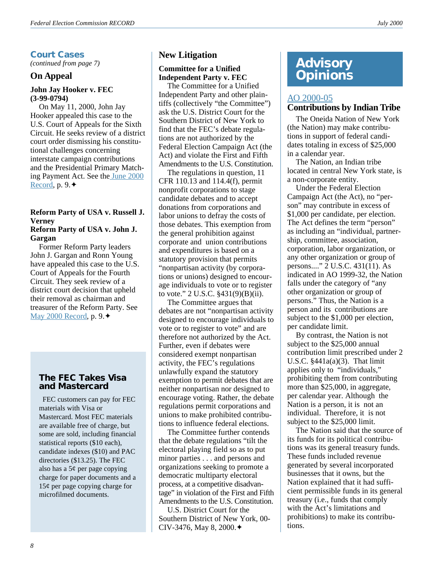## **Court Cases**

*(continued from page 7)*

#### **On Appeal**

#### **John Jay Hooker v. FEC (3-99-0794)**

On May 11, 2000, John Jay Hooker appealed this case to the U.S. Court of Appeals for the Sixth Circuit. He seeks review of a district court order dismissing his constitutional challenges concerning interstate campaign contributions and the Presidential Primary Matching Payment Act. See th[e June 2000](http://www.fec.gov/pdf/june00.pdf) [Record,](http://www.fec.gov/pdf/june00.pdf) p. 9.✦

## **Reform Party of USA v. Russell J. Verney**

#### **Reform Party of USA v. John J. Gargan**

Former Reform Party leaders John J. Gargan and Ronn Young have appealed this case to the U.S. Court of Appeals for the Fourth Circuit. They seek review of a district court decision that upheld their removal as chairman and treasurer of the Reform Party. See [May 2000 Record,](http://www.fec.gov/pdf/may00.pdf) p. 9.✦

## **The FEC Takes Visa and Mastercard**

 FEC customers can pay for FEC materials with Visa or Mastercard. Most FEC materials are available free of charge, but some are sold, including financial statistical reports (\$10 each), candidate indexes (\$10) and PAC directories (\$13.25). The FEC also has a 5¢ per page copying charge for paper documents and a 15¢ per page copying charge for microfilmed documents.

### **New Litigation**

#### **Committee for a Unified Independent Party v. FEC**

The Committee for a Unified Independent Party and other plaintiffs (collectively "the Committee") ask the U.S. District Court for the Southern District of New York to find that the FEC's debate regulations are not authorized by the Federal Election Campaign Act (the Act) and violate the First and Fifth Amendments to the U.S. Constitution.

The regulations in question, 11 CFR 110.13 and 114.4(f), permit nonprofit corporations to stage candidate debates and to accept donations from corporations and labor unions to defray the costs of those debates. This exemption from the general prohibition against corporate and union contributions and expenditures is based on a statutory provision that permits "nonpartisan activity (by corporations or unions) designed to encourage individuals to vote or to register to vote." 2 U.S.C. §431(9)(B)(ii).

The Committee argues that debates are not "nonpartisan activity designed to encourage individuals to vote or to register to vote" and are therefore not authorized by the Act. Further, even if debates were considered exempt nonpartisan activity, the FEC's regulations unlawfully expand the statutory exemption to permit debates that are neither nonpartisan nor designed to encourage voting. Rather, the debate regulations permit corporations and unions to make prohibited contributions to influence federal elections.

The Committee further contends that the debate regulations "tilt the electoral playing field so as to put minor parties . . . and persons and organizations seeking to promote a democratic multiparty electoral process, at a competitive disadvantage" in violation of the First and Fifth Amendments to the U.S. Constitution.

U.S. District Court for the Southern District of New York, 00- CIV-3476, May 8, 2000.✦

## **Advisory Opinions**

#### [AO 2000-05](http://saos.fec.gov/aodocs/2000-05.pdf) **Contributions by Indian Tribe**

The Oneida Nation of New York

(the Nation) may make contributions in support of federal candidates totaling in excess of \$25,000 in a calendar year.

The Nation, an Indian tribe located in central New York state, is a non-corporate entity.

Under the Federal Election Campaign Act (the Act), no "person" may contribute in excess of \$1,000 per candidate, per election. The Act defines the term "person" as including an "individual, partnership, committee, association, corporation, labor organization, or any other organization or group of persons...." 2 U.S.C. 431(11). As indicated in AO 1999-32, the Nation falls under the category of "any other organization or group of persons." Thus, the Nation is a person and its contributions are subject to the \$1,000 per election, per candidate limit.

By contrast, the Nation is not subject to the \$25,000 annual contribution limit prescribed under 2 U.S.C.  $§441a(a)(3)$ . That limit applies only to "individuals," prohibiting them from contributing more than \$25,000, in aggregate, per calendar year. Although the Nation is a person, it is not an individual. Therefore, it is not subject to the \$25,000 limit.

The Nation said that the source of its funds for its political contributions was its general treasury funds. These funds included revenue generated by several incorporated businesses that it owns, but the Nation explained that it had sufficient permissible funds in its general treasury (i.e., funds that comply with the Act's limitations and prohibitions) to make its contributions.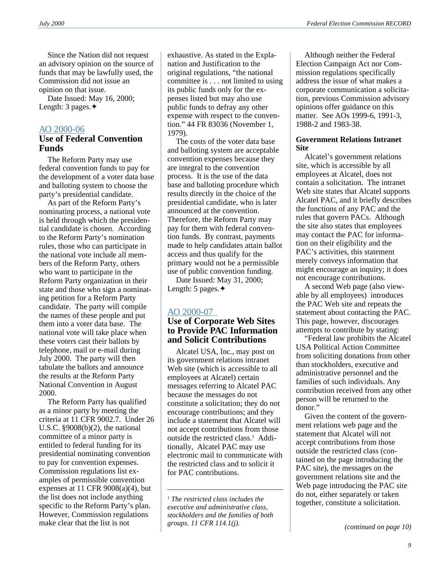Since the Nation did not request an advisory opinion on the source of funds that may be lawfully used, the Commission did not issue an opinion on that issue.

Date Issued: May 16, 2000; Length: 3 pages.✦

#### [AO 2000-06](http://saos.fec.gov/aodocs/2000-06.pdf)

#### **Use of Federal Convention Funds**

The Reform Party may use federal convention funds to pay for the development of a voter data base and balloting system to choose the party's presidential candidate.

As part of the Reform Party's nominating process, a national vote is held through which the presidential candidate is chosen. According to the Reform Party's nomination rules, those who can participate in the national vote include all members of the Reform Party, others who want to participate in the Reform Party organization in their state and those who sign a nominating petition for a Reform Party candidate. The party will compile the names of these people and put them into a voter data base. The national vote will take place when these voters cast their ballots by telephone, mail or e-mail during July 2000. The party will then tabulate the ballots and announce the results at the Reform Party National Convention in August 2000.

The Reform Party has qualified as a minor party by meeting the criteria at 11 CFR 9002.7. Under 26 U.S.C. §9008(b)(2), the national committee of a minor party is entitled to federal funding for its presidential nominating convention to pay for convention expenses. Commission regulations list examples of permissible convention expenses at 11 CFR  $9008(a)(4)$ , but the list does not include anything specific to the Reform Party's plan. However, Commission regulations make clear that the list is not

exhaustive. As stated in the Explanation and Justification to the original regulations, "the national committee is . . . not limited to using its public funds only for the expenses listed but may also use public funds to defray any other expense with respect to the convention." 44 FR 83036 (November 1, 1979).

The costs of the voter data base and balloting system are acceptable convention expenses because they are integral to the convention process. It is the use of the data base and balloting procedure which results directly in the choice of the presidential candidate, who is later announced at the convention. Therefore, the Reform Party may pay for them with federal convention funds. By contrast, payments made to help candidates attain ballot access and thus qualify for the primary would not be a permissible use of public convention funding.

Date Issued: May 31, 2000; Length: 5 pages.✦

#### [AO 2000-07](http://saos.fec.gov/aodocs/2000-07.pdf)

#### **Use of Corporate Web Sites to Provide PAC Information and Solicit Contributions**

Alcatel USA, Inc., may post on its government relations intranet Web site (which is accessible to all employees at Alcatel) certain messages referring to Alcatel PAC because the messages do not constitute a solicitation; they do not encourage contributions; and they include a statement that Alcatel will not accept contributions from those outside the restricted class.<sup>1</sup> Additionally, Alcatel PAC may use electronic mail to communicate with the restricted class and to solicit it for PAC contributions.

Although neither the Federal Election Campaign Act nor Commission regulations specifically address the issue of what makes a corporate communication a solicitation, previous Commission advisory opinions offer guidance on this matter. See AOs 1999-6, 1991-3, 1988-2 and 1983-38.

#### **Government Relations Intranet Site**

Alcatel's government relations site, which is accessible by all employees at Alcatel, does not contain a solicitation. The intranet Web site states that Alcatel supports Alcatel PAC, and it briefly describes the functions of any PAC and the rules that govern PACs. Although the site also states that employees may contact the PAC for information on their eligibility and the PAC's activities, this statement merely conveys information that might encourage an inquiry; it does not encourage contributions.

A second Web page (also viewable by all employees) introduces the PAC Web site and repeats the statement about contacting the PAC. This page, however, discourages attempts to contribute by stating:

"Federal law prohibits the Alcatel USA Political Action Committee from soliciting donations from other than stockholders, executive and administrative personnel and the families of such individuals. Any contribution received from any other person will be returned to the donor."

Given the content of the government relations web page and the statement that Alcatel will not accept contributions from those outside the restricted class (contained on the page introducing the PAC site), the messages on the government relations site and the Web page introducing the PAC site do not, either separately or taken together, constitute a solicitation. *<sup>1</sup>*

*The restricted class includes the executive and administrative class, stockholders and the families of both groups. 11 CFR 114.1(j). (continued on page 10)*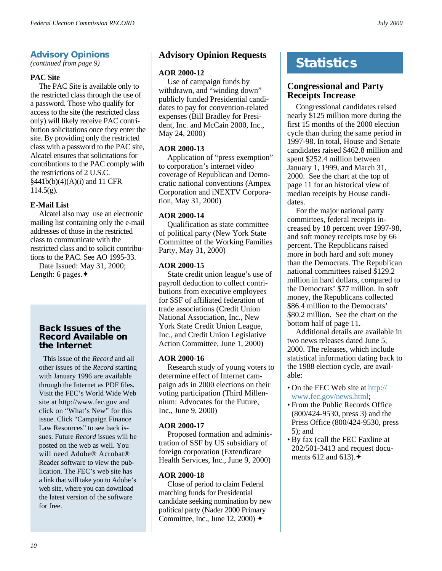## **Advisory Opinions**

*(continued from page 9)*

#### **PAC Site**

The PAC Site is available only to the restricted class through the use of a password. Those who qualify for access to the site (the restricted class only) will likely receive PAC contribution solicitations once they enter the site. By providing only the restricted class with a password to the PAC site, Alcatel ensures that solicitations for contributions to the PAC comply with the restrictions of 2 U.S.C. §441b(b)(4)(A)(i) and 11 CFR  $114.5(g)$ .

#### **E-Mail List**

Alcatel also may use an electronic mailing list containing only the e-mail addresses of those in the restricted class to communicate with the restricted class and to solicit contributions to the PAC. See AO 1995-33.

Date Issued: May 31, 2000; Length: 6 pages.✦

#### **Back Issues of the Record Available on the Internet**

This issue of the *Record* and all other issues of the *Record* starting with January 1996 are available through the Internet as PDF files. Visit the FEC's World Wide Web site at http://www.fec.gov and click on "What's New" for this issue. Click "Campaign Finance Law Resources" to see back issues. Future *Record* issues will be posted on the web as well. You will need Adobe® Acrobat® Reader software to view the publication. The FEC's web site has a link that will take you to Adobe's web site, where you can download the latest version of the software for free.

## **Advisory Opinion Requests**

#### **AOR 2000-12**

Use of campaign funds by withdrawn, and "winding down" publicly funded Presidential candidates to pay for convention-related expenses (Bill Bradley for President, Inc. and McCain 2000, Inc., May 24, 2000)

#### **AOR 2000-13**

Application of "press exemption" to corporation's internet video coverage of Republican and Democratic national conventions (Ampex Corporation and iNEXTV Corporation, May 31, 2000)

#### **AOR 2000-14**

Qualification as state committee of political party (New York State Committee of the Working Families Party, May 31, 2000)

#### **AOR 2000-15**

State credit union league's use of payroll deduction to collect contributions from executive employees for SSF of affiliated federation of trade associations (Credit Union National Association, Inc., New York State Credit Union League, Inc., and Credit Union Legislative Action Committee, June 1, 2000)

#### **AOR 2000-16**

Research study of young voters to determine effect of Internet campaign ads in 2000 elections on their voting participation (Third Millennium: Advocates for the Future, Inc., June 9, 2000)

#### **AOR 2000-17**

Proposed formation and administration of SSF by US subsidiary of foreign corporation (Extendicare Health Services, Inc., June 9, 2000)

#### **AOR 2000-18**

Close of period to claim Federal matching funds for Presidential candidate seeking nomination by new political party (Nader 2000 Primary Committee, Inc., June 12, 2000) ✦

## **Statistics**

## **Congressional and Party Receipts Increase**

Congressional candidates raised nearly \$125 million more during the first 15 months of the 2000 election cycle than during the same period in 1997-98. In total, House and Senate candidates raised \$462.8 million and spent \$252.4 million between January 1, 1999, and March 31, 2000. See the chart at the top of page 11 for an historical view of median receipts by House candidates.

For the major national party committees, federal receipts increased by 18 percent over 1997-98, and soft money receipts rose by 66 percent. The Republicans raised more in both hard and soft money than the Democrats. The Republican national committees raised \$129.2 million in hard dollars, compared to the Democrats' \$77 million. In soft money, the Republicans collected \$86.4 million to the Democrats' \$80.2 million. See the chart on the bottom half of page 11.

Additional details are available in two news releases dated June 5, 2000. The releases, which include statistical information dating back to the 1988 election cycle, are available:

- On the FEC Web site at [http://](http://www.fec.gov/news.html) [www.fec.gov/news.html](http://www.fec.gov/news.html);
- From the Public Records Office (800/424-9530, press 3) and the Press Office (800/424-9530, press 5); and
- By fax (call the FEC Faxline at 202/501-3413 and request documents 612 and 613). $\triangleleft$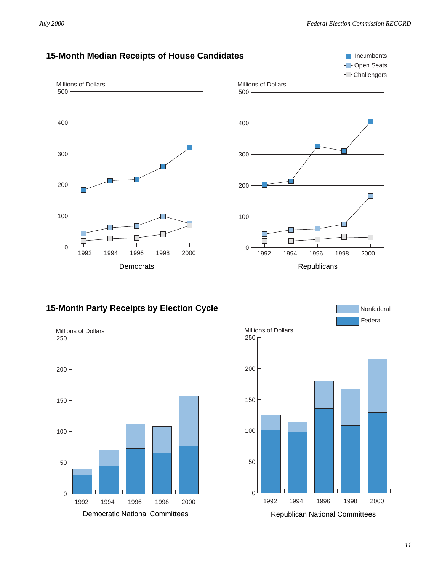*July 2000 Federal Election Commission RECORD*

**I**-Incumbents



Democrats **Republicans** Republicans

## **15-Month Party Receipts by Election Cycle**



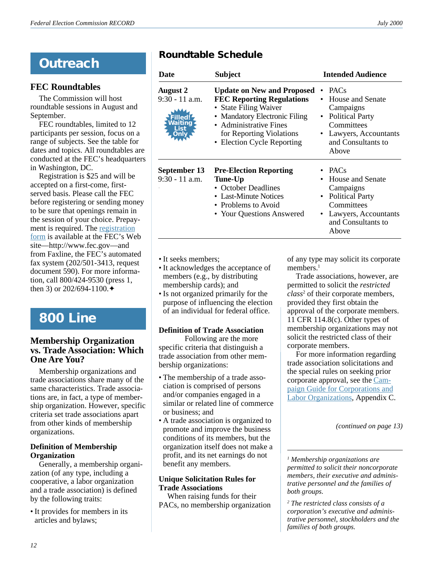# **Outreach**

## **FEC Roundtables**

The Commission will host roundtable sessions in August and September.

FEC roundtables, limited to 12 participants per session, focus on a range of subjects. See the table for dates and topics. All roundtables are conducted at the FEC's headquarters in Washington, DC.

Registration is \$25 and will be accepted on a first-come, firstserved basis. Please call the FEC before registering or sending money to be sure that openings remain in the session of your choice. Prepayment is required. Th[e registration](http://www.fec.gov/pdf/rndtabl.pdf) [form](http://www.fec.gov/pdf/rndtabl.pdf) is available at the FEC's Web site—http://www.fec.gov—and from Faxline, the FEC's automated fax system (202/501-3413, request document 590). For more information, call 800/424-9530 (press 1, then 3) or  $202/694-1100.$ 

# **800 Line**

## **Membership Organization vs. Trade Association: Which One Are You?**

Membership organizations and trade associations share many of the same characteristics. Trade associations are, in fact, a type of membership organization. However, specific criteria set trade associations apart from other kinds of membership organizations.

### **Definition of Membership Organization**

Generally, a membership organization (of any type, including a cooperative, a labor organization and a trade association) is defined by the following traits:

• It provides for members in its articles and bylaws;

## **Roundtable Schedule**

| Date                                                            | <b>Subject</b>                                                                                                                                                                                                      | <b>Intended Audience</b>                                                                                                                                                |  |
|-----------------------------------------------------------------|---------------------------------------------------------------------------------------------------------------------------------------------------------------------------------------------------------------------|-------------------------------------------------------------------------------------------------------------------------------------------------------------------------|--|
| <b>August 2</b><br>$9:30 - 11$ a.m.<br>illed!<br><b>Naiting</b> | <b>Update on New and Proposed</b><br><b>FEC Reporting Regulations</b><br>• State Filing Waiver<br>• Mandatory Electronic Filing<br>• Administrative Fines<br>for Reporting Violations<br>• Election Cycle Reporting | <b>PACs</b><br>$\bullet$<br>House and Senate<br>Campaigns<br><b>Political Party</b><br>$\bullet$<br>Committees<br>• Lawyers, Accountants<br>and Consultants to<br>Above |  |
| September 13<br>$9:30 - 11$ a.m.                                | <b>Pre-Election Reporting</b><br>Tune-Up<br>• October Deadlines<br>• Last-Minute Notices<br>• Problems to Avoid<br>• Your Questions Answered                                                                        | • PACs<br>House and Senate<br>Campaigns<br><b>Political Party</b><br>$\bullet$<br>Committees<br>Lawyers, Accountants<br>$\bullet$<br>and Consultants to<br>Above        |  |

- It seeks members;
- It acknowledges the acceptance of members (e.g., by distributing membership cards); and
- Is not organized primarily for the purpose of influencing the election of an individual for federal office.

#### **Definition of Trade Association**

Following are the more specific criteria that distinguish a trade association from other membership organizations:

- The membership of a trade association is comprised of persons and/or companies engaged in a similar or related line of commerce or business; and
- A trade association is organized to promote and improve the business conditions of its members, but the organization itself does not make a profit, and its net earnings do not benefit any members.

#### **Unique Solicitation Rules for Trade Associations**

When raising funds for their PACs, no membership organization of any type may solicit its corporate members.<sup>1</sup>

Trade associations, however, are permitted to solicit the *restricted class*<sup>2</sup> of their corporate members, provided they first obtain the approval of the corporate members. 11 CFR 114.8(c). Other types of membership organizations may not solicit the restricted class of their corporate members.

For more information regarding trade association solicitations and the special rules on seeking prior corporate approval, see the [Cam](http://www.fec.gov/pdf/colagui.pdf)[paign Guide for Corporations and](http://www.fec.gov/pdf/colagui.pdf) [Labor Organizations](http://www.fec.gov/pdf/colagui.pdf)*,* Appendix C.

*(continued on page 13)*

*1 Membership organizations are permitted to solicit their noncorporate members, their executive and administrative personnel and the families of both groups.*

*2 The restricted class consists of a corporation's executive and administrative personnel, stockholders and the families of both groups.*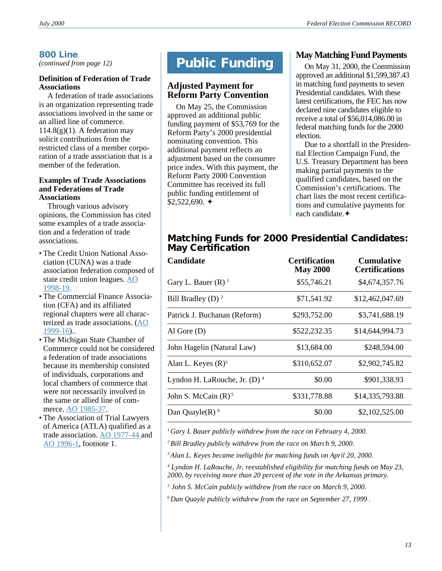## **800 Line**

*(continued from page 12)*

#### **Definition of Federation of Trade Associations**

A federation of trade associations is an organization representing trade associations involved in the same or an allied line of commerce.  $114.8(g)(1)$ . A federation may solicit contributions from the restricted class of a member corporation of a trade association that is a member of the federation.

#### **Examples of Trade Associations and Federations of Trade Associations**

Through various advisory opinions, the Commission has cited some examples of a trade association and a federation of trade associations.

- The Credit Union National Association (CUNA) was a trade association federation composed of state credit union leagues. [AO](http://herndon3.sdrdc.com/ao/ao/980019.html) [1998-19](http://herndon3.sdrdc.com/ao/ao/980019.html).
- The Commercial Finance Association (CFA) and its affiliated regional chapters were all characterized as trade associations. [\(AO](http://herndon3.sdrdc.com/ao/ao/990016.html) [1999-16](http://herndon3.sdrdc.com/ao/ao/990016.html))..
- The Michigan State Chamber of Commerce could not be considered a federation of trade associations because its membership consisted of individuals, corporations and local chambers of commerce that were not necessarily involved in the same or allied line of commerce. [AO 1985-37.](http://herndon3.sdrdc.com/ao/ao/850037.html)
- The Association of Trial Lawyers of America (ATLA) qualified as a trade association. [AO 1977-44](http://herndon3.sdrdc.com/ao/ao/770044.html) and [AO 1996-1](http://herndon3.sdrdc.com/ao/ao/960001.html), footnote 1.

## **Public Funding**

## **Adjusted Payment for Reform Party Convention**

On May 25, the Commission approved an additional public funding payment of \$53,769 for the Reform Party's 2000 presidential nominating convention. This additional payment reflects an adjustment based on the consumer price index. With this payment, the Reform Party 2000 Convention Committee has received its full public funding entitlement of  $$2,522,690$ .  $\triangleleft$ 

### **May Matching Fund Payments**

On May 31, 2000, the Commission approved an additional \$1,599,387.43 in matching fund payments to seven Presidential candidates. With these latest certifications, the FEC has now declared nine candidates eligible to receive a total of \$56,014,086.00 in federal matching funds for the 2000 election.

Due to a shortfall in the Presidential Election Campaign Fund, the U.S. Treasury Department has been making partial payments to the qualified candidates, based on the Commission's certifications. The chart lists the most recent certifications and cumulative payments for each candidate.✦

## **Matching Funds for 2000 Presidential Candidates: May Certification**

| <b>Candidate</b>                           | <b>Certification</b><br><b>May 2000</b> | <b>Cumulative</b><br><b>Certifications</b> |
|--------------------------------------------|-----------------------------------------|--------------------------------------------|
| Gary L. Bauer $(R)$ <sup>1</sup>           | \$55,746.21                             | \$4,674,357.76                             |
| Bill Bradley (D) $^2$                      | \$71,541.92                             | \$12,462,047.69                            |
| Patrick J. Buchanan (Reform)               | \$293,752.00                            | \$3,741,688.19                             |
| Al Gore $(D)$                              | \$522,232.35                            | \$14,644,994.73                            |
| John Hagelin (Natural Law)                 | \$13,684.00                             | \$248,594.00                               |
| Alan L. Keyes $(R)^3$                      | \$310,652.07                            | \$2,902,745.82                             |
| Lyndon H. LaRouche, Jr. $(D)$ <sup>4</sup> | \$0.00                                  | \$901,338.93                               |
| John S. McCain $(R)^5$                     | \$331,778.88                            | \$14,335,793.88                            |
| Dan Quayle $(R)$ <sup>6</sup>              | \$0.00                                  | \$2,102,525.00                             |

*1 Gary L Bauer publicly withdrew from the race on February 4, 2000.*

*2 Bill Bradley publicly withdrew from the race on March 9, 2000.*

*3 Alan L. Keyes became ineligible for matching funds on April 20, 2000.*

*4 Lyndon H. LaRouche, Jr. reestablished eligibility for matching funds on May 23, 2000, by receiving more than 20 percent of the vote in the Arkansas primary.*

*<sup>5</sup> John S. McCain publicly withdrew from the race on March 9, 2000.*

*6 Dan Quayle publicly withdrew from the race on September 27, 1999 .*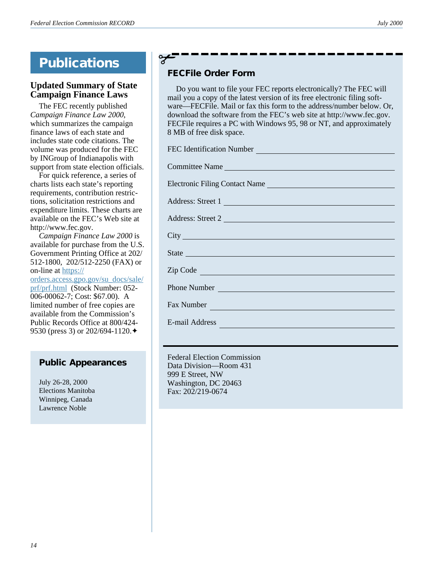## **Updated Summary of State Campaign Finance Laws**

The FEC recently published *Campaign Finance Law 2000*, which summarizes the campaign finance laws of each state and includes state code citations. The volume was produced for the FEC by INGroup of Indianapolis with support from state election officials.

For quick reference, a series of charts lists each state's reporting requirements, contribution restrictions, solicitation restrictions and expenditure limits. These [charts are](http://www.fec.gov/pages/cflaw2000.htm) [available on the FEC's Web site](http://www.fec.gov/pages/cflaw2000.htm) at http://www.fec.gov.

*Campaign Finance Law 2000* is available for purchase from the U.S. Government Printing Office at 202/ 512-1800, 202/512-2250 (FAX) or on-line at [https://](https://orders.access.gpo.gov/su_docs/sale/prf/prf.html)

[orders.access.gpo.gov/su\\_docs/sale/](https://orders.access.gpo.gov/su_docs/sale/prf/prf.html) [prf/prf.html](https://orders.access.gpo.gov/su_docs/sale/prf/prf.html) (Stock Number: 052- 006-00062-7; Cost: \$67.00). A limited number of free copies are available from the Commission's Public Records Office at 800/424- 9530 (press 3) or 202/694-1120. ♦

## **Public Appearances**

July 26-28, 2000 Elections Manitoba Winnipeg, Canada Lawrence Noble

## **FECFile Order Form**

✃

Do you want to file your FEC reports electronically? The FEC will mail you a copy of the latest version of its free electronic filing software—FECFile. Mail or fax this form to the address/number below. Or, download the software from the FEC's web site at http://www.fec.gov. FECFile requires a PC with Windows 95, 98 or NT, and approximately 8 MB of free disk space.

| FEC Identification Number                                                                                                                                                                                                            |  |  |
|--------------------------------------------------------------------------------------------------------------------------------------------------------------------------------------------------------------------------------------|--|--|
| Committee Name                                                                                                                                                                                                                       |  |  |
| Electronic Filing Contact Name                                                                                                                                                                                                       |  |  |
| Address: Street 1                                                                                                                                                                                                                    |  |  |
| Address: Street 2                                                                                                                                                                                                                    |  |  |
|                                                                                                                                                                                                                                      |  |  |
| State <u>substitution of the state of the state of the state of the state of the state of the state of the state of the state of the state of the state of the state of the state of the state of the state of the state of the </u> |  |  |
| Zip Code and the contract of the contract of the contract of the contract of the contract of the contract of the contract of the contract of the contract of the contract of the contract of the contract of the contract of t       |  |  |
| Phone Number                                                                                                                                                                                                                         |  |  |
| Fax Number                                                                                                                                                                                                                           |  |  |
| E-mail Address                                                                                                                                                                                                                       |  |  |
|                                                                                                                                                                                                                                      |  |  |

Federal Election Commission Data Division—Room 431 999 E Street, NW Washington, DC 20463 Fax: 202/219-0674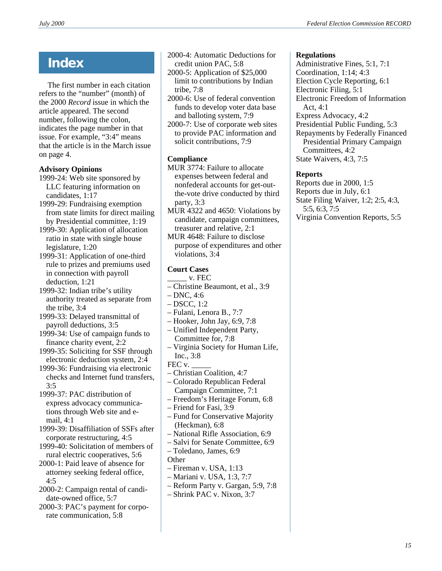## **Index**

The first number in each citation refers to the "number" (month) of the 2000 *Record* issue in which the article appeared. The second number, following the colon, indicates the page number in that issue. For example, "3:4" means that the article is in the March issue on page 4.

### **Advisory Opinions**

- 1999-24: Web site sponsored by LLC featuring information on candidates, 1:17
- 1999-29: Fundraising exemption from state limits for direct mailing by Presidential committee, 1:19
- 1999-30: Application of allocation ratio in state with single house legislature, 1:20
- 1999-31: Application of one-third rule to prizes and premiums used in connection with payroll deduction, 1:21
- 1999-32: Indian tribe's utility authority treated as separate from the tribe, 3:4
- 1999-33: Delayed transmittal of payroll deductions, 3:5
- 1999-34: Use of campaign funds to finance charity event, 2:2
- 1999-35: Soliciting for SSF through electronic deduction system, 2:4
- 1999-36: Fundraising via electronic checks and Internet fund transfers, 3:5
- 1999-37: PAC distribution of express advocacy communications through Web site and email, 4:1
- 1999-39: Disaffiliation of SSFs after corporate restructuring, 4:5
- 1999-40: Solicitation of members of rural electric cooperatives, 5:6
- 2000-1: Paid leave of absence for attorney seeking federal office, 4:5
- 2000-2: Campaign rental of candidate-owned office, 5:7
- 2000-3: PAC's payment for corporate communication, 5:8
- 2000-4: Automatic Deductions for credit union PAC, 5:8
- 2000-5: Application of \$25,000 limit to contributions by Indian tribe, 7:8
- 2000-6: Use of federal convention funds to develop voter data base and balloting system, 7:9
- 2000-7: Use of corporate web sites to provide PAC information and solicit contributions, 7:9

## **Compliance**

- MUR 3774: Failure to allocate expenses between federal and nonfederal accounts for get-outthe-vote drive conducted by third party, 3:3
- MUR 4322 and 4650: Violations by candidate, campaign committees, treasurer and relative, 2:1
- MUR 4648: Failure to disclose purpose of expenditures and other violations, 3:4

## **Court Cases**

- $_{\rm v.}$  FEC
- Christine Beaumont, et al., 3:9
- $-$  DNC, 4:6
- DSCC, 1:2
- Fulani, Lenora B., 7:7
- Hooker, John Jay, 6:9, 7:8
- Unified Independent Party, Committee for, 7:8
- Virginia Society for Human Life, Inc., 3:8
- FEC v.
- Christian Coalition, 4:7
- Colorado Republican Federal Campaign Committee, 7:1
- Freedom's Heritage Forum, 6:8
- Friend for Fasi, 3:9
- Fund for Conservative Majority (Heckman), 6:8
- National Rifle Association, 6:9
- Salvi for Senate Committee, 6:9 – Toledano, James, 6:9
- **Other**
- Fireman v. USA, 1:13
- Mariani v. USA, 1:3, 7:7
- Reform Party v. Gargan, 5:9, 7:8
	- Shrink PAC v. Nixon, 3:7

#### **Regulations**

Administrative Fines, 5:1, 7:1 Coordination, 1:14; 4:3 Election Cycle Reporting, 6:1 Electronic Filing, 5:1 Electronic Freedom of Information Act, 4:1 Express Advocacy, 4:2 Presidential Public Funding, 5:3 Repayments by Federally Financed Presidential Primary Campaign Committees, 4:2 State Waivers, 4:3, 7:5

#### **Reports**

Reports due in 2000, 1:5 Reports due in July, 6:1 State Filing Waiver, 1:2; 2:5, 4:3, 5:5, 6:3, 7:5 Virginia Convention Reports, 5:5